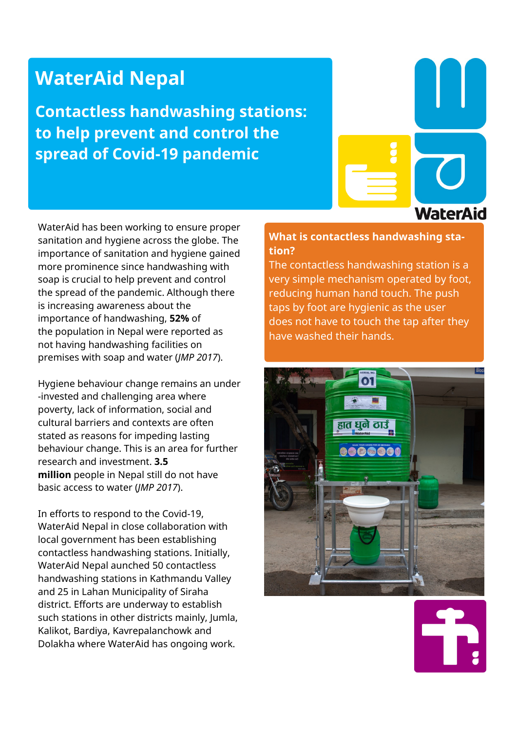# **WaterAid Nepal**

**Contactless handwashing stations: to help prevent and control the spread of Covid-19 pandemic**

**WaterAid** 

WaterAid has been working to ensure proper sanitation and hygiene across the globe. The importance of sanitation and hygiene gained more prominence since handwashing with soap is crucial to help prevent and control the spread of the pandemic. Although there is increasing awareness about the importance of handwashing, **52%** of the population in Nepal were reported as not having handwashing facilities on premises with soap and water (*JMP 2017*).

Hygiene behaviour change remains an under -invested and challenging area where poverty, lack of information, social and cultural barriers and contexts are often stated as reasons for impeding lasting behaviour change. This is an area for further research and investment. **3.5 million** people in Nepal still do not have basic access to water (*JMP 2017*).

In efforts to respond to the Covid-19, WaterAid Nepal in close collaboration with local government has been establishing contactless handwashing stations. Initially, WaterAid Nepal aunched 50 contactless handwashing stations in Kathmandu Valley and 25 in Lahan Municipality of Siraha district. Efforts are underway to establish such stations in other districts mainly, Jumla, Kalikot, Bardiya, Kavrepalanchowk and Dolakha where WaterAid has ongoing work.

## **What is contactless handwashing station?**

The contactless handwashing station is a very simple mechanism operated by foot, reducing human hand touch. The push taps by foot are hygienic as the user does not have to touch the tap after they have washed their hands.